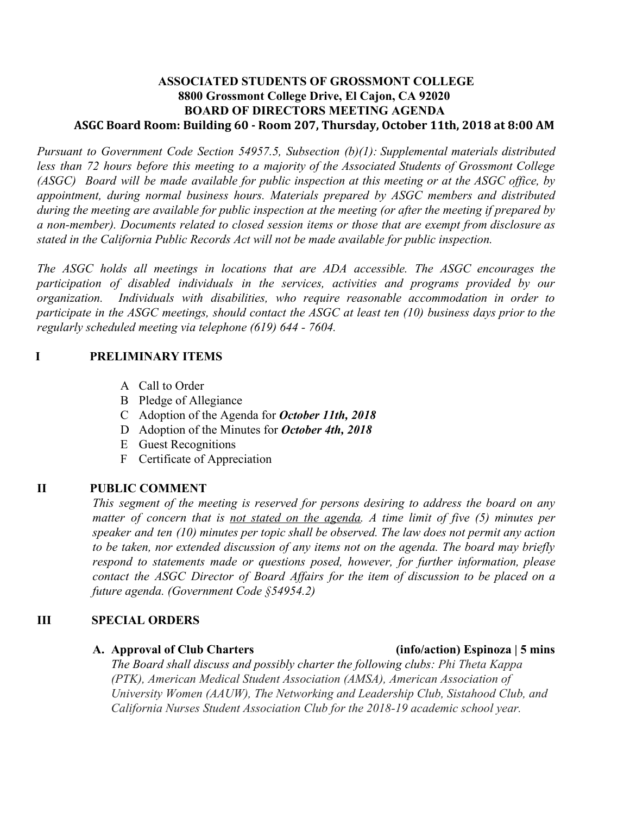# **ASSOCIATED STUDENTS OF GROSSMONT COLLEGE 8800 Grossmont College Drive, El Cajon, CA 92020 BOARD OF DIRECTORS MEETING AGENDA ASGC Board Room: Building 60 - Room 207, Thursday, October 11th, 2018 at 8:00 AM**

*Pursuant to Government Code Section 54957.5, Subsection (b)(1): Supplemental materials distributed less than 72 hours before this meeting to a majority of the Associated Students of Grossmont College* (ASGC) Board will be made available for public inspection at this meeting or at the ASGC office, by *appointment, during normal business hours. Materials prepared by ASGC members and distributed* during the meeting are available for public inspection at the meeting (or after the meeting if prepared by *a non-member). Documents related to closed session items or those that are exempt from disclosure as stated in the California Public Records Act will not be made available for public inspection.* 

*The ASGC holds all meetings in locations that are ADA accessible. The ASGC encourages the participation of disabled individuals in the services, activities and programs provided by our organization. Individuals with disabilities, who require reasonable accommodation in order to* participate in the ASGC meetings, should contact the ASGC at least ten  $(10)$  business days prior to the *regularly scheduled meeting via telephone (619) 644 - 7604.*

# **I PRELIMINARY ITEMS**

- A Call to Order
- B Pledge of Allegiance
- C Adoption of the Agenda for *October 11th, 2018*
- D Adoption of the Minutes for *October 4th, 2018*
- E Guest Recognitions
- F Certificate of Appreciation

# **II PUBLIC COMMENT**

*This segment of the meeting is reserved for persons desiring to address the board on any matter of concern that is not stated on the agenda. A time limit of five (5) minutes per speaker and ten (10) minutes per topic shall be observed. The law does not permit any action to be taken, nor extended discussion of any items not on the agenda. The board may briefly respond to statements made or questions posed, however, for further information, please contact the ASGC Director of Board Affairs for the item of discussion to be placed on a future agenda. (Government Code §54954.2)*

### **III SPECIAL ORDERS**

### **A. Approval of Club Charters (info/action) Espinoza | 5 mins**

*The Board shall discuss and possibly charter the following clubs: Phi Theta Kappa (PTK), American Medical Student Association (AMSA), American Association of University Women (AAUW), The Networking and Leadership Club, Sistahood Club, and California Nurses Student Association Club for the 2018-19 academic school year.*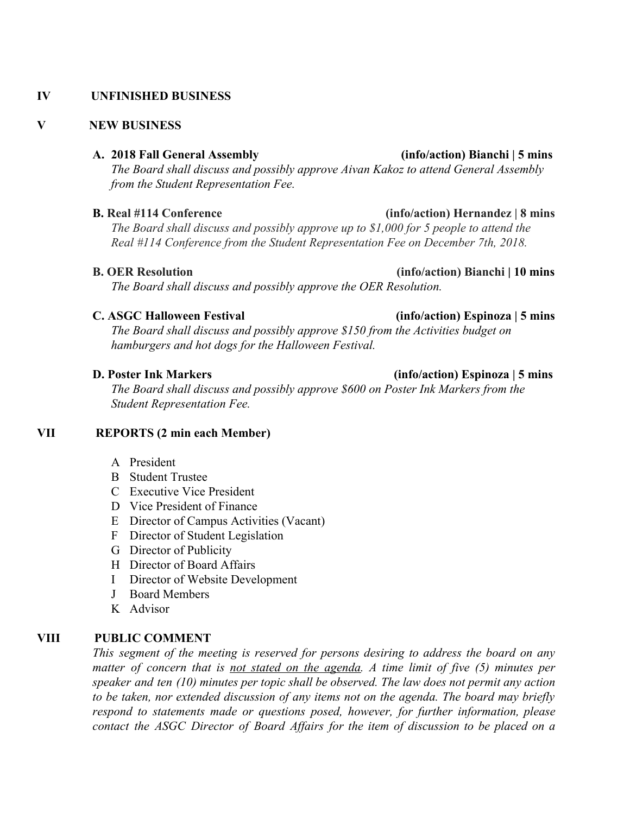### **IV UNFINISHED BUSINESS**

### **V NEW BUSINESS**

### **A. 2018 Fall General Assembly (info/action) Bianchi | 5 mins**

*The Board shall discuss and possibly approve Aivan Kakoz to attend General Assembly from the Student Representation Fee.*

### **B. Real #114 Conference (info/action) Hernandez | 8 mins**

*The Board shall discuss and possibly approve up to \$1,000 for 5 people to attend the Real #114 Conference from the Student Representation Fee on December 7th, 2018.*

### **B. OER Resolution (info/action) Bianchi** | **10 mins**

*The Board shall discuss and possibly approve the OER Resolution.*

### **C. ASGC Halloween Festival (info/action) Espinoza | 5 mins**

*The Board shall discuss and possibly approve \$150 from the Activities budget on hamburgers and hot dogs for the Halloween Festival.*

*The Board shall discuss and possibly approve \$600 on Poster Ink Markers from the Student Representation Fee.*

### **VII REPORTS (2 min each Member)**

- A President
- B Student Trustee
- C Executive Vice President
- D Vice President of Finance
- E Director of Campus Activities (Vacant)
- F Director of Student Legislation
- G Director of Publicity
- H Director of Board Affairs
- I Director of Website Development
- J Board Members
- K Advisor

### **VIII PUBLIC COMMENT**

*This segment of the meeting is reserved for persons desiring to address the board on any matter of concern that is not stated on the agenda. A time limit of five (5) minutes per speaker and ten (10) minutes per topic shall be observed. The law does not permit any action to be taken, nor extended discussion of any items not on the agenda. The board may briefly respond to statements made or questions posed, however, for further information, please contact the ASGC Director of Board Affairs for the item of discussion to be placed on a*

# **D. Poster Ink Markers (info/action) Espinoza | 5 mins**